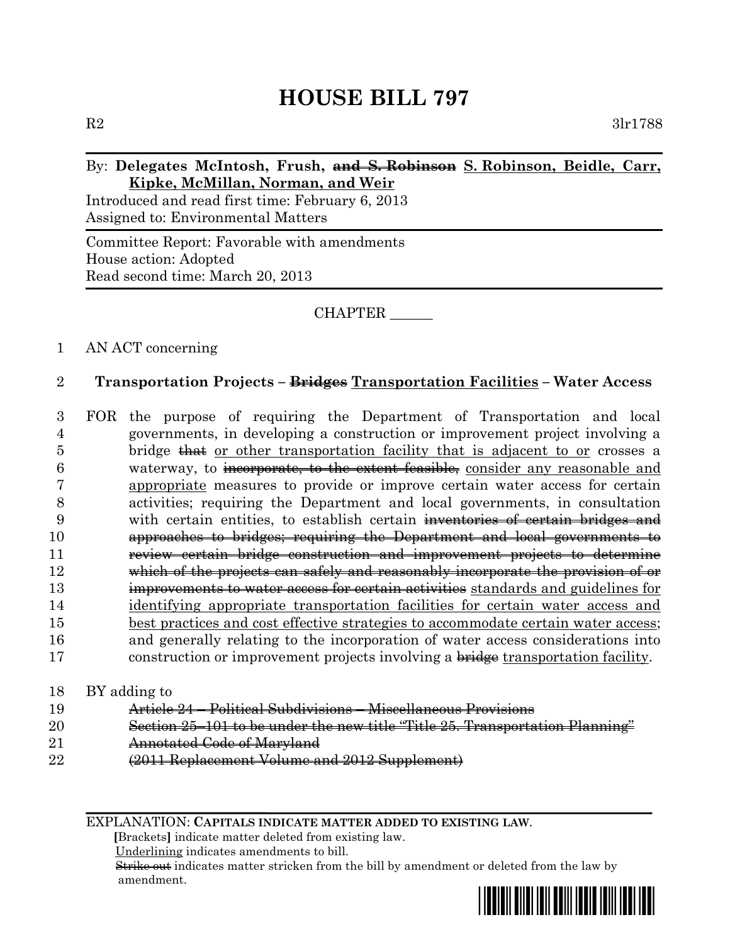# **HOUSE BILL 797**

## By: **Delegates McIntosh, Frush, and S. Robinson S. Robinson, Beidle, Carr, Kipke, McMillan, Norman, and Weir**

Introduced and read first time: February 6, 2013 Assigned to: Environmental Matters

Committee Report: Favorable with amendments House action: Adopted Read second time: March 20, 2013

# CHAPTER \_\_\_\_\_\_

# 1 AN ACT concerning

## 2 **Transportation Projects – Bridges Transportation Facilities – Water Access**

 FOR the purpose of requiring the Department of Transportation and local governments, in developing a construction or improvement project involving a 5 bridge that or other transportation facility that is adjacent to or crosses a waterway, to incorporate, to the extent feasible, consider any reasonable and appropriate measures to provide or improve certain water access for certain activities; requiring the Department and local governments, in consultation 9 with certain entities, to establish certain inventories of certain bridges and approaches to bridges; requiring the Department and local governments to **review certain bridge construction and improvement projects to determine**  which of the projects can safely and reasonably incorporate the provision of or **improvements to water access for certain activities** standards and guidelines for identifying appropriate transportation facilities for certain water access and best practices and cost effective strategies to accommodate certain water access; and generally relating to the incorporation of water access considerations into 17 construction or improvement projects involving a bridge transportation facility.

#### 18 BY adding to

- 19 Article 24 Political Subdivisions Miscellaneous Provisions
- 20 Section 25–101 to be under the new title "Title 25. Transportation Planning"
- 21 **Annotated Code of Maryland**
- 22 (2011 Replacement Volume and 2012 Supplement)

EXPLANATION: **CAPITALS INDICATE MATTER ADDED TO EXISTING LAW**.

 **[**Brackets**]** indicate matter deleted from existing law.

Underlining indicates amendments to bill.

 Strike out indicates matter stricken from the bill by amendment or deleted from the law by amendment.

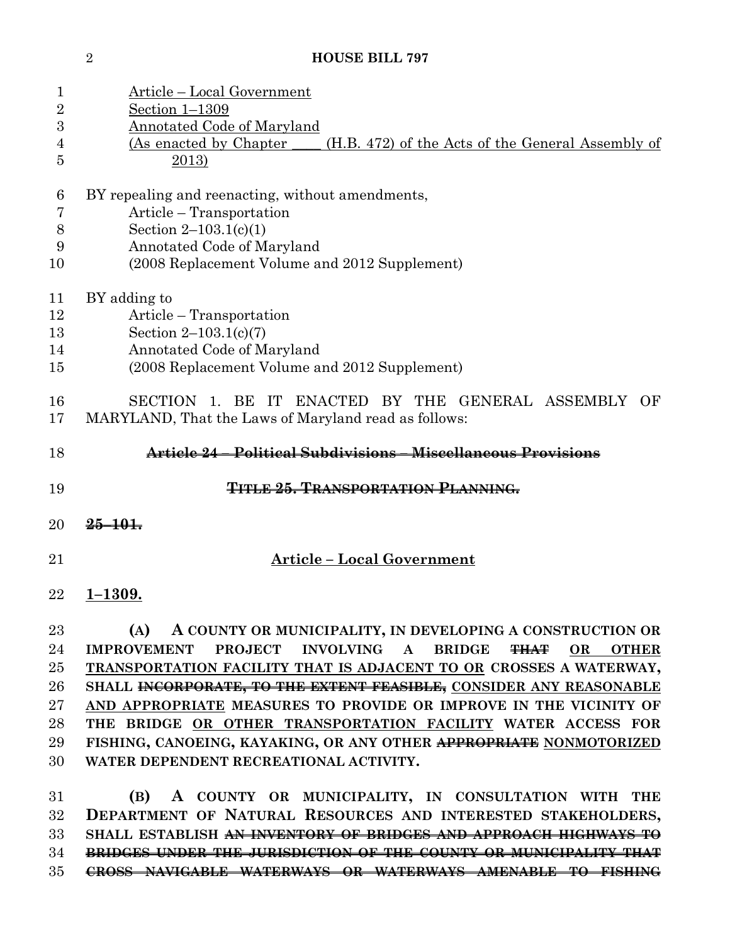**HOUSE BILL 797**

| 1<br>$\overline{2}$<br>3<br>4<br>5                   | <u> Article – Local Government</u><br>Section 1-1309<br>Annotated Code of Maryland<br>(As enacted by Chapter<br>(H.B. 472) of the Acts of the General Assembly of<br>$\frac{2013}{2}$                                                                                                                                                                                                                                                                                                                                                                      |
|------------------------------------------------------|------------------------------------------------------------------------------------------------------------------------------------------------------------------------------------------------------------------------------------------------------------------------------------------------------------------------------------------------------------------------------------------------------------------------------------------------------------------------------------------------------------------------------------------------------------|
| 6<br>7<br>8<br>9<br>10                               | BY repealing and reenacting, without amendments,<br>Article – Transportation<br>Section $2-103.1(c)(1)$<br>Annotated Code of Maryland<br>(2008 Replacement Volume and 2012 Supplement)                                                                                                                                                                                                                                                                                                                                                                     |
| 11<br>12<br>13<br>14<br>15                           | BY adding to<br>Article – Transportation<br>Section $2-103.1(c)(7)$<br>Annotated Code of Maryland<br>(2008 Replacement Volume and 2012 Supplement)                                                                                                                                                                                                                                                                                                                                                                                                         |
| 16<br>17                                             | SECTION 1. BE IT ENACTED BY THE GENERAL ASSEMBLY OF<br>MARYLAND, That the Laws of Maryland read as follows:                                                                                                                                                                                                                                                                                                                                                                                                                                                |
| 18                                                   | Article 24 – Political Subdivisions – Miscellaneous Provisions                                                                                                                                                                                                                                                                                                                                                                                                                                                                                             |
| 19                                                   | <b>TITLE 25. TRANSPORTATION PLANNING.</b>                                                                                                                                                                                                                                                                                                                                                                                                                                                                                                                  |
| 20                                                   | $25 - 101$                                                                                                                                                                                                                                                                                                                                                                                                                                                                                                                                                 |
| 21                                                   | <b>Article - Local Government</b>                                                                                                                                                                                                                                                                                                                                                                                                                                                                                                                          |
| 22                                                   | $1 - 1309.$                                                                                                                                                                                                                                                                                                                                                                                                                                                                                                                                                |
| 23<br>24<br>$25\,$<br>26<br>$27\,$<br>28<br>29<br>30 | A COUNTY OR MUNICIPALITY, IN DEVELOPING A CONSTRUCTION OR<br>(A)<br>IMPROVEMENT PROJECT INVOLVING A BRIDGE<br><del>THAT</del><br>$\bf OR$<br><b>OTHER</b><br>TRANSPORTATION FACILITY THAT IS ADJACENT TO OR CROSSES A WATERWAY,<br>SHALL INCORPORATE, TO THE EXTENT FEASIBLE, CONSIDER ANY REASONABLE<br>AND APPROPRIATE MEASURES TO PROVIDE OR IMPROVE IN THE VICINITY OF<br>THE BRIDGE OR OTHER TRANSPORTATION FACILITY WATER ACCESS FOR<br>FISHING, CANOEING, KAYAKING, OR ANY OTHER APPROPRIATE NONMOTORIZED<br>WATER DEPENDENT RECREATIONAL ACTIVITY. |
| 31                                                   |                                                                                                                                                                                                                                                                                                                                                                                                                                                                                                                                                            |

 **BRIDGES UNDER THE JURISDICTION OF THE COUNTY OR MUNICIPALITY THAT CROSS NAVIGABLE WATERWAYS OR WATERWAYS AMENABLE TO FISHING**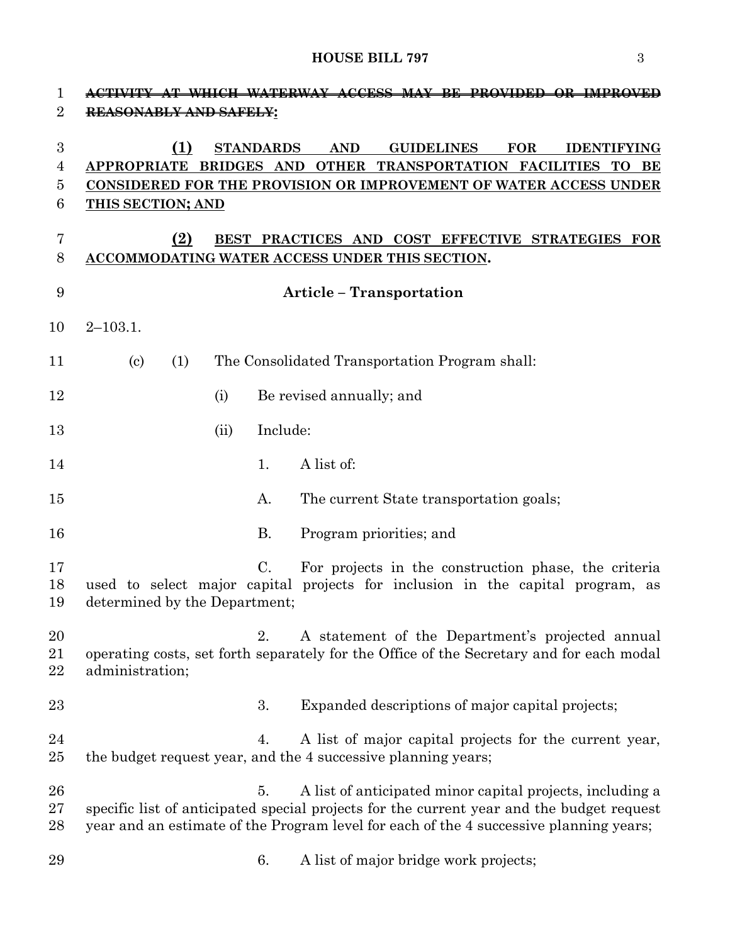# **HOUSE BILL 797** 3

| $\mathbf 1$<br>$\overline{2}$   | ACTIVITY AT WHICH WATERWAY<br>ACCESS MAY BE<br>-PROVIDED OR IMPROVED<br>REASONABLY AND SAFELY:                                                                                                                                                                                      |
|---------------------------------|-------------------------------------------------------------------------------------------------------------------------------------------------------------------------------------------------------------------------------------------------------------------------------------|
| $\boldsymbol{3}$<br>4<br>5<br>6 | (1)<br><b>STANDARDS</b><br><b>AND</b><br><b>GUIDELINES</b><br><b>FOR</b><br><b>IDENTIFYING</b><br><b>APPROPRIATE</b><br>BRIDGES AND OTHER<br>TRANSPORTATION FACILITIES<br><b>TO</b><br>BE<br>CONSIDERED FOR THE PROVISION OR IMPROVEMENT OF WATER ACCESS UNDER<br>THIS SECTION; AND |
| 7<br>8                          | (2)<br>BEST PRACTICES AND COST EFFECTIVE STRATEGIES<br>FOR<br><b>ACCOMMODATING WATER ACCESS UNDER THIS SECTION.</b>                                                                                                                                                                 |
| 9                               | <b>Article - Transportation</b>                                                                                                                                                                                                                                                     |
| 10                              | $2 - 103.1.$                                                                                                                                                                                                                                                                        |
| 11                              | The Consolidated Transportation Program shall:<br>$\left( \mathrm{c}\right)$<br>(1)                                                                                                                                                                                                 |
| 12                              | Be revised annually; and<br>(i)                                                                                                                                                                                                                                                     |
| 13                              | Include:<br>(ii)                                                                                                                                                                                                                                                                    |
| 14                              | A list of:<br>1.                                                                                                                                                                                                                                                                    |
| 15                              | Α.<br>The current State transportation goals;                                                                                                                                                                                                                                       |
| 16                              | B.<br>Program priorities; and                                                                                                                                                                                                                                                       |
| 17<br>18<br>19                  | $\mathcal{C}$ .<br>For projects in the construction phase, the criteria<br>used to select major capital projects for inclusion in the capital program, as<br>determined by the Department;                                                                                          |
| 20<br>21<br>22                  | A statement of the Department's projected annual<br>2.<br>operating costs, set forth separately for the Office of the Secretary and for each modal<br>administration;                                                                                                               |
| $23\,$                          | Expanded descriptions of major capital projects;<br>3.                                                                                                                                                                                                                              |
| 24<br>$25\,$                    | A list of major capital projects for the current year,<br>4.<br>the budget request year, and the 4 successive planning years;                                                                                                                                                       |
| 26<br>$27\,$<br>28              | A list of anticipated minor capital projects, including a<br>5.<br>specific list of anticipated special projects for the current year and the budget request<br>year and an estimate of the Program level for each of the 4 successive planning years;                              |
| 29                              | A list of major bridge work projects;<br>6.                                                                                                                                                                                                                                         |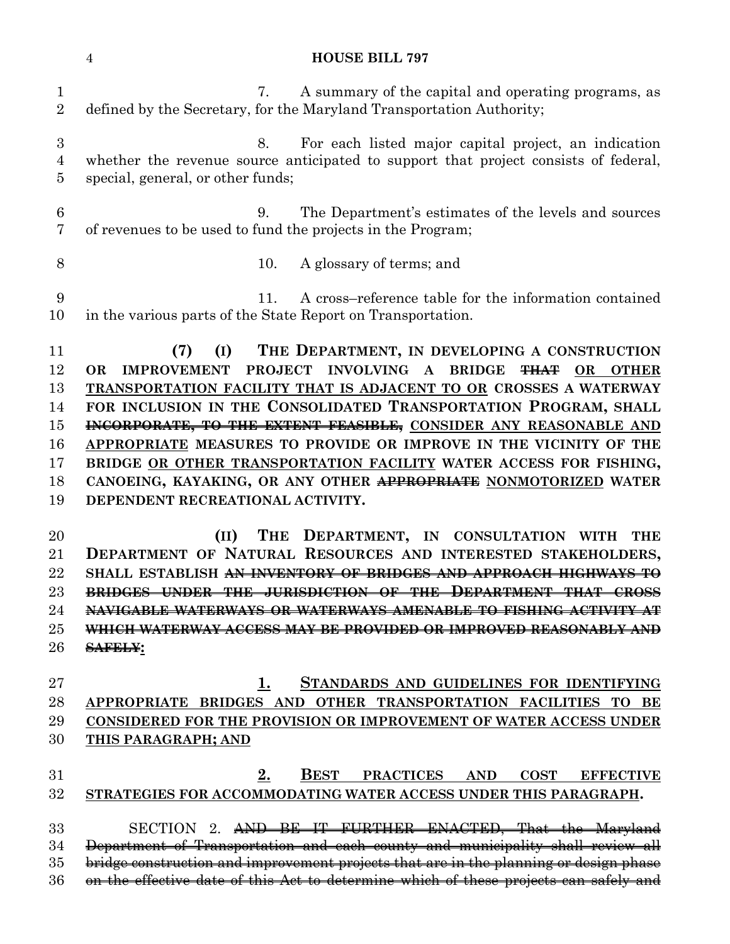#### **HOUSE BILL 797**

 7. A summary of the capital and operating programs, as defined by the Secretary, for the Maryland Transportation Authority; 8. For each listed major capital project, an indication whether the revenue source anticipated to support that project consists of federal, special, general, or other funds; 9. The Department's estimates of the levels and sources of revenues to be used to fund the projects in the Program; 10. A glossary of terms; and 11. A cross–reference table for the information contained in the various parts of the State Report on Transportation. **(7) (I) THE DEPARTMENT, IN DEVELOPING A CONSTRUCTION OR IMPROVEMENT PROJECT INVOLVING A BRIDGE THAT OR OTHER TRANSPORTATION FACILITY THAT IS ADJACENT TO OR CROSSES A WATERWAY FOR INCLUSION IN THE CONSOLIDATED TRANSPORTATION PROGRAM, SHALL INCORPORATE, TO THE EXTENT FEASIBLE, CONSIDER ANY REASONABLE AND APPROPRIATE MEASURES TO PROVIDE OR IMPROVE IN THE VICINITY OF THE BRIDGE OR OTHER TRANSPORTATION FACILITY WATER ACCESS FOR FISHING, CANOEING, KAYAKING, OR ANY OTHER APPROPRIATE NONMOTORIZED WATER DEPENDENT RECREATIONAL ACTIVITY. (II) THE DEPARTMENT, IN CONSULTATION WITH THE DEPARTMENT OF NATURAL RESOURCES AND INTERESTED STAKEHOLDERS, SHALL ESTABLISH AN INVENTORY OF BRIDGES AND APPROACH HIGHWAYS TO BRIDGES UNDER THE JURISDICTION OF THE DEPARTMENT THAT CROSS NAVIGABLE WATERWAYS OR WATERWAYS AMENABLE TO FISHING ACTIVITY AT WHICH WATERWAY ACCESS MAY BE PROVIDED OR IMPROVED REASONABLY AND SAFELY: 1. STANDARDS AND GUIDELINES FOR IDENTIFYING APPROPRIATE BRIDGES AND OTHER TRANSPORTATION FACILITIES TO BE CONSIDERED FOR THE PROVISION OR IMPROVEMENT OF WATER ACCESS UNDER THIS PARAGRAPH; AND 2. BEST PRACTICES AND COST EFFECTIVE STRATEGIES FOR ACCOMMODATING WATER ACCESS UNDER THIS PARAGRAPH.** SECTION 2. AND BE IT FURTHER ENACTED, That the Maryland Department of Transportation and each county and municipality shall review all bridge construction and improvement projects that are in the planning or design phase 36 on the effective date of this Act to determine which of these projects can safely and